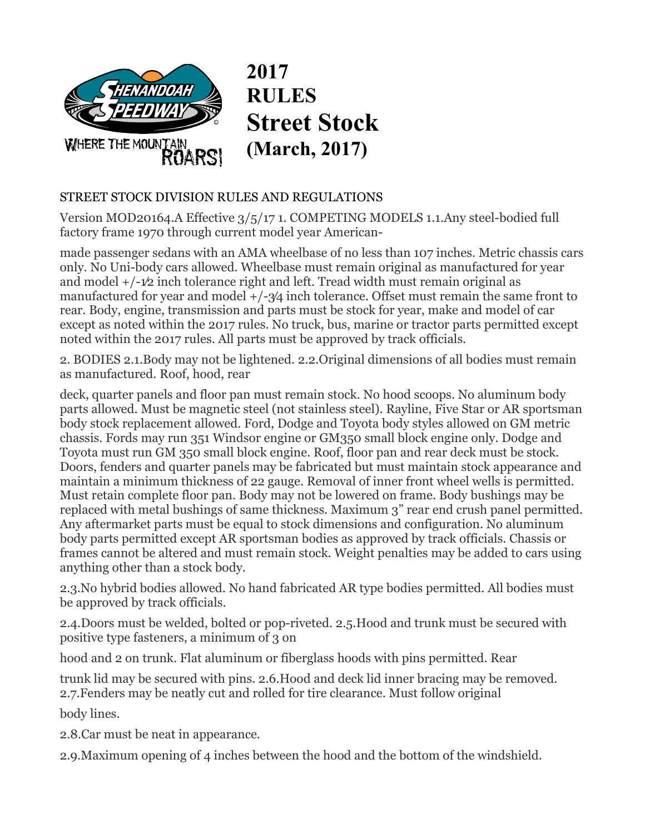

**2017 RULES Street Stock (March, 2017)** 

## STREET STOCK DIVISION RULES AND REGULATIONS

Version MOD20164.A Effective 3/5/17 1. COMPETING MODELS 1.1.Any steel-bodied full factory frame 1970 through current model year American-

made passenger sedans with an AMA wheelbase of no less than 107 inches. Metric chassis cars only. No Uni-body cars allowed. Wheelbase must remain original as manufactured for year and model  $+/-1/2$  inch tolerance right and left. Tread width must remain original as manufactured for year and model  $+/-3/4$  inch tolerance. Offset must remain the same front to rear. Body, engine, transmission and parts must be stock for year, make and model of car except as noted within the 2017 rules. No truck, bus, marine or tractor parts permitted except noted within the 2017 rules. All parts must be approved by track officials.

2. BODIES 2.1.Body may not be lightened. 2.2.Original dimensions of all bodies must remain as manufactured. Roof, hood, rear

deck, quarter panels and floor pan must remain stock. No hood scoops. No aluminum body parts allowed. Must be magnetic steel (not stainless steel). Rayline, Five Star or AR sportsman body stock replacement allowed. Ford, Dodge and Toyota body styles allowed on GM metric chassis. Fords may run 351 Windsor engine or GM350 small block engine only. Dodge and Toyota must run GM 350 small block engine. Roof, floor pan and rear deck must be stock. Doors, fenders and quarter panels may be fabricated but must maintain stock appearance and maintain a minimum thickness of 22 gauge. Removal of inner front wheel wells is permitted. Must retain complete floor pan. Body may not be lowered on frame. Body bushings may be replaced with metal bushings of same thickness. Maximum 3" rear end crush panel permitted. Any aftermarket parts must be equal to stock dimensions and configuration. No aluminum body parts permitted except AR sportsman bodies as approved by track officials. Chassis or frames cannot be altered and must remain stock. Weight penalties may be added to cars using anything other than a stock body.

2.3.No hybrid bodies allowed. No hand fabricated AR type bodies permitted. All bodies must be approved by track officials.

2.4.Doors must be welded, bolted or pop-riveted. 2.5.Hood and trunk must be secured with positive type fasteners, a minimum of 3 on

hood and 2 on trunk. Flat aluminum or fiberglass hoods with pins permitted. Rear

trunk lid may be secured with pins. 2.6.Hood and deck lid inner bracing may be removed. 2.7.Fenders may be neatly cut and rolled for tire clearance. Must follow original

body lines.

2.8.Car must be neat in appearance.

2.9.Maximum opening of 4 inches between the hood and the bottom of the windshield.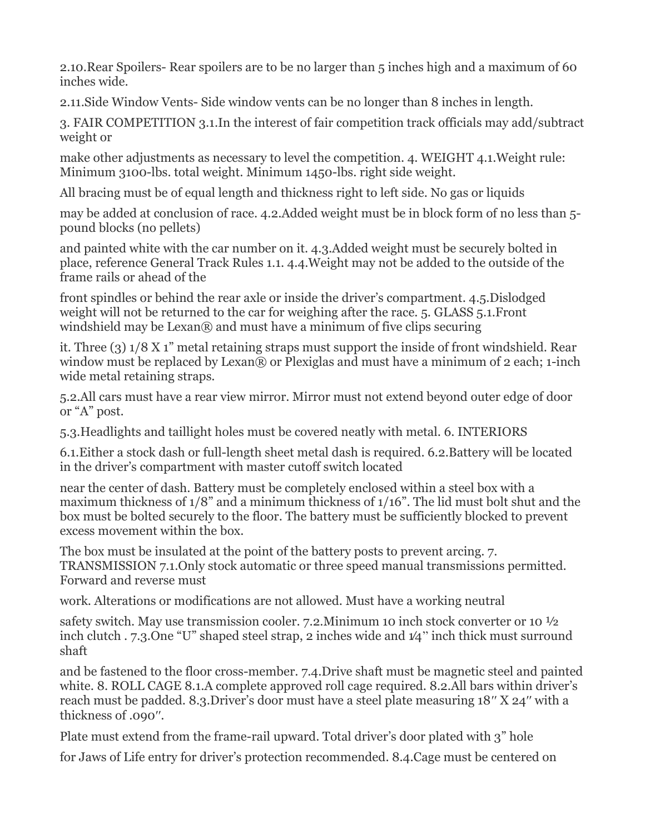2.10.Rear Spoilers- Rear spoilers are to be no larger than 5 inches high and a maximum of 60 inches wide.

2.11.Side Window Vents- Side window vents can be no longer than 8 inches in length.

3. FAIR COMPETITION 3.1.In the interest of fair competition track officials may add/subtract weight or

make other adjustments as necessary to level the competition. 4. WEIGHT 4.1.Weight rule: Minimum 3100-lbs. total weight. Minimum 1450-lbs. right side weight.

All bracing must be of equal length and thickness right to left side. No gas or liquids

may be added at conclusion of race. 4.2.Added weight must be in block form of no less than 5 pound blocks (no pellets)

and painted white with the car number on it. 4.3.Added weight must be securely bolted in place, reference General Track Rules 1.1. 4.4.Weight may not be added to the outside of the frame rails or ahead of the

front spindles or behind the rear axle or inside the driver's compartment. 4.5.Dislodged weight will not be returned to the car for weighing after the race. 5. GLASS 5.1.Front windshield may be Lexan $\mathbb R$  and must have a minimum of five clips securing

it. Three (3) 1/8 X 1" metal retaining straps must support the inside of front windshield. Rear window must be replaced by Lexan® or Plexiglas and must have a minimum of 2 each; 1-inch wide metal retaining straps.

5.2.All cars must have a rear view mirror. Mirror must not extend beyond outer edge of door or "A" post.

5.3.Headlights and taillight holes must be covered neatly with metal. 6. INTERIORS

6.1.Either a stock dash or full-length sheet metal dash is required. 6.2.Battery will be located in the driver's compartment with master cutoff switch located

near the center of dash. Battery must be completely enclosed within a steel box with a maximum thickness of 1/8" and a minimum thickness of 1/16". The lid must bolt shut and the box must be bolted securely to the floor. The battery must be sufficiently blocked to prevent excess movement within the box.

The box must be insulated at the point of the battery posts to prevent arcing. 7. TRANSMISSION 7.1.Only stock automatic or three speed manual transmissions permitted. Forward and reverse must

work. Alterations or modifications are not allowed. Must have a working neutral

safety switch. May use transmission cooler. 7.2.Minimum 10 inch stock converter or 10 ½ inch clutch . 7.3.One "U" shaped steel strap, 2 inches wide and 1⁄4" inch thick must surround shaft

and be fastened to the floor cross-member. 7.4.Drive shaft must be magnetic steel and painted white. 8. ROLL CAGE 8.1.A complete approved roll cage required. 8.2.All bars within driver's reach must be padded. 8.3.Driver's door must have a steel plate measuring 18′′ X 24′′ with a thickness of .090′′.

Plate must extend from the frame-rail upward. Total driver's door plated with 3" hole

for Jaws of Life entry for driver's protection recommended. 8.4.Cage must be centered on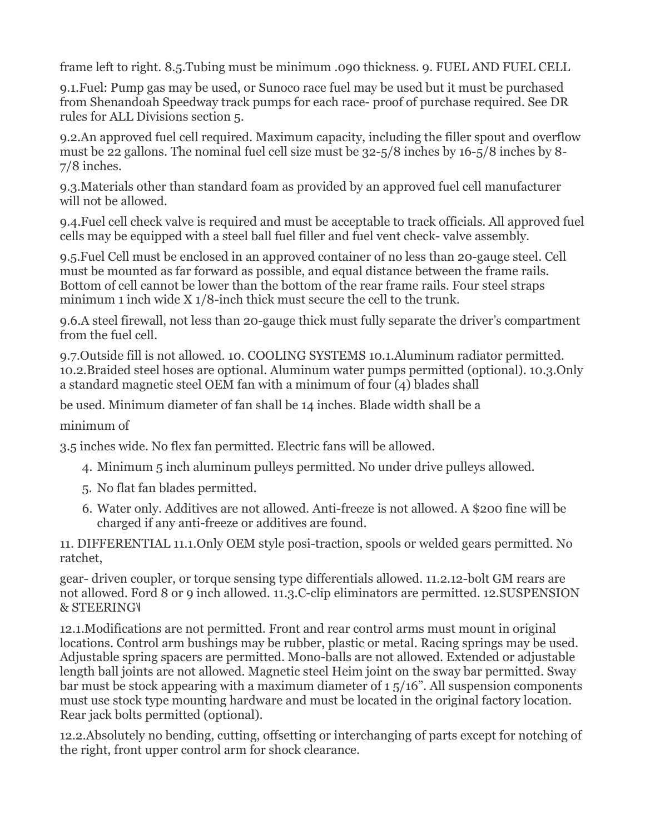frame left to right. 8.5.Tubing must be minimum .090 thickness. 9. FUEL AND FUEL CELL

9.1.Fuel: Pump gas may be used, or Sunoco race fuel may be used but it must be purchased from Shenandoah Speedway track pumps for each race- proof of purchase required. See DR rules for ALL Divisions section 5.

9.2.An approved fuel cell required. Maximum capacity, including the filler spout and overflow must be 22 gallons. The nominal fuel cell size must be 32-5/8 inches by 16-5/8 inches by 8- 7/8 inches.

9.3.Materials other than standard foam as provided by an approved fuel cell manufacturer will not be allowed.

9.4.Fuel cell check valve is required and must be acceptable to track officials. All approved fuel cells may be equipped with a steel ball fuel filler and fuel vent check- valve assembly.

9.5.Fuel Cell must be enclosed in an approved container of no less than 20-gauge steel. Cell must be mounted as far forward as possible, and equal distance between the frame rails. Bottom of cell cannot be lower than the bottom of the rear frame rails. Four steel straps minimum 1 inch wide X 1/8-inch thick must secure the cell to the trunk.

9.6.A steel firewall, not less than 20-gauge thick must fully separate the driver's compartment from the fuel cell.

9.7.Outside fill is not allowed. 10. COOLING SYSTEMS 10.1.Aluminum radiator permitted. 10.2.Braided steel hoses are optional. Aluminum water pumps permitted (optional). 10.3.Only a standard magnetic steel OEM fan with a minimum of four (4) blades shall

be used. Minimum diameter of fan shall be 14 inches. Blade width shall be a

minimum of

3.5 inches wide. No flex fan permitted. Electric fans will be allowed.

- 4. Minimum 5 inch aluminum pulleys permitted. No under drive pulleys allowed.
- 5. No flat fan blades permitted.
- 6. Water only. Additives are not allowed. Anti-freeze is not allowed. A \$200 fine will be charged if any anti-freeze or additives are found.

11. DIFFERENTIAL 11.1.Only OEM style posi-traction, spools or welded gears permitted. No ratchet,

gear- driven coupler, or torque sensing type differentials allowed. 11.2.12-bolt GM rears are not allowed. Ford 8 or 9 inch allowed. 11.3.C-clip eliminators are permitted. 12.SUSPENSION & STEERING

12.1.Modifications are not permitted. Front and rear control arms must mount in original locations. Control arm bushings may be rubber, plastic or metal. Racing springs may be used. Adjustable spring spacers are permitted. Mono-balls are not allowed. Extended or adjustable length ball joints are not allowed. Magnetic steel Heim joint on the sway bar permitted. Sway bar must be stock appearing with a maximum diameter of 1 5/16". All suspension components must use stock type mounting hardware and must be located in the original factory location. Rear jack bolts permitted (optional).

12.2.Absolutely no bending, cutting, offsetting or interchanging of parts except for notching of the right, front upper control arm for shock clearance.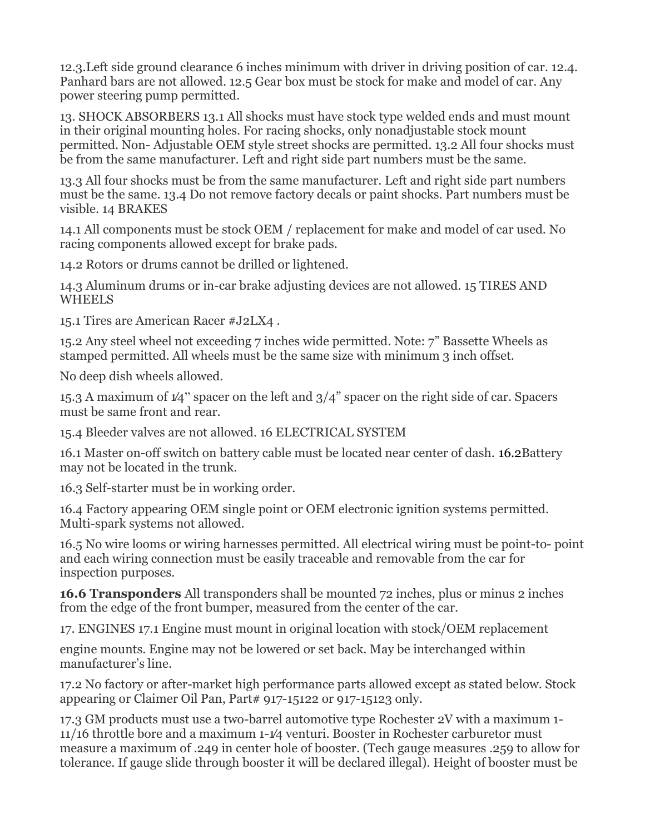12.3.Left side ground clearance 6 inches minimum with driver in driving position of car. 12.4. Panhard bars are not allowed. 12.5 Gear box must be stock for make and model of car. Any power steering pump permitted.

13. SHOCK ABSORBERS 13.1 All shocks must have stock type welded ends and must mount in their original mounting holes. For racing shocks, only nonadjustable stock mount permitted. Non- Adjustable OEM style street shocks are permitted. 13.2 All four shocks must be from the same manufacturer. Left and right side part numbers must be the same.

13.3 All four shocks must be from the same manufacturer. Left and right side part numbers must be the same. 13.4 Do not remove factory decals or paint shocks. Part numbers must be visible. 14 BRAKES

14.1 All components must be stock OEM / replacement for make and model of car used. No racing components allowed except for brake pads.

14.2 Rotors or drums cannot be drilled or lightened.

14.3 Aluminum drums or in-car brake adjusting devices are not allowed. 15 TIRES AND WHEELS

15.1 Tires are American Racer #J2LX4 .

15.2 Any steel wheel not exceeding 7 inches wide permitted. Note: 7" Bassette Wheels as stamped permitted. All wheels must be the same size with minimum 3 inch offset.

No deep dish wheels allowed.

15.3 A maximum of 1⁄4" spacer on the left and 3/4" spacer on the right side of car. Spacers must be same front and rear.

15.4 Bleeder valves are not allowed. 16 ELECTRICAL SYSTEM

16.1 Master on-off switch on battery cable must be located near center of dash. 16.2Battery may not be located in the trunk.

16.3 Self-starter must be in working order.

16.4 Factory appearing OEM single point or OEM electronic ignition systems permitted. Multi-spark systems not allowed.

16.5 No wire looms or wiring harnesses permitted. All electrical wiring must be point-to- point and each wiring connection must be easily traceable and removable from the car for inspection purposes.

**16.6 Transponders** All transponders shall be mounted 72 inches, plus or minus 2 inches from the edge of the front bumper, measured from the center of the car.

17. ENGINES 17.1 Engine must mount in original location with stock/OEM replacement

engine mounts. Engine may not be lowered or set back. May be interchanged within manufacturer's line.

17.2 No factory or after-market high performance parts allowed except as stated below. Stock appearing or Claimer Oil Pan, Part# 917-15122 or 917-15123 only.

17.3 GM products must use a two-barrel automotive type Rochester 2V with a maximum 1- 11/16 throttle bore and a maximum 1-1⁄4 venturi. Booster in Rochester carburetor must measure a maximum of .249 in center hole of booster. (Tech gauge measures .259 to allow for tolerance. If gauge slide through booster it will be declared illegal). Height of booster must be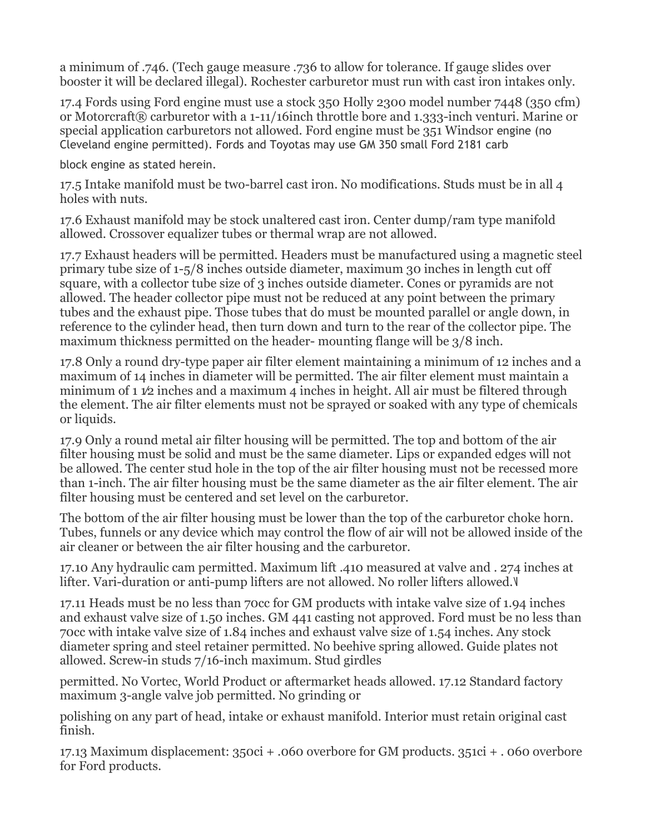a minimum of .746. (Tech gauge measure .736 to allow for tolerance. If gauge slides over booster it will be declared illegal). Rochester carburetor must run with cast iron intakes only.

17.4 Fords using Ford engine must use a stock 350 Holly 2300 model number 7448 (350 cfm) or Motorcraft® carburetor with a 1-11/16inch throttle bore and 1.333-inch venturi. Marine or special application carburetors not allowed. Ford engine must be 351 Windsor engine (no Cleveland engine permitted). Fords and Toyotas may use GM 350 small Ford 2181 carb

block engine as stated herein.

17.5 Intake manifold must be two-barrel cast iron. No modifications. Studs must be in all 4 holes with nuts.

17.6 Exhaust manifold may be stock unaltered cast iron. Center dump/ram type manifold allowed. Crossover equalizer tubes or thermal wrap are not allowed.

17.7 Exhaust headers will be permitted. Headers must be manufactured using a magnetic steel primary tube size of 1-5/8 inches outside diameter, maximum 30 inches in length cut off square, with a collector tube size of 3 inches outside diameter. Cones or pyramids are not allowed. The header collector pipe must not be reduced at any point between the primary tubes and the exhaust pipe. Those tubes that do must be mounted parallel or angle down, in reference to the cylinder head, then turn down and turn to the rear of the collector pipe. The maximum thickness permitted on the header- mounting flange will be 3/8 inch.

17.8 Only a round dry-type paper air filter element maintaining a minimum of 12 inches and a maximum of 14 inches in diameter will be permitted. The air filter element must maintain a minimum of 1  $\mathcal{V}2$  inches and a maximum 4 inches in height. All air must be filtered through the element. The air filter elements must not be sprayed or soaked with any type of chemicals or liquids.

17.9 Only a round metal air filter housing will be permitted. The top and bottom of the air filter housing must be solid and must be the same diameter. Lips or expanded edges will not be allowed. The center stud hole in the top of the air filter housing must not be recessed more than 1-inch. The air filter housing must be the same diameter as the air filter element. The air filter housing must be centered and set level on the carburetor.

The bottom of the air filter housing must be lower than the top of the carburetor choke horn. Tubes, funnels or any device which may control the flow of air will not be allowed inside of the air cleaner or between the air filter housing and the carburetor.

17.10 Any hydraulic cam permitted. Maximum lift .410 measured at valve and . 274 inches at lifter. Vari-duration or anti-pump lifters are not allowed. No roller lifters allowed.

17.11 Heads must be no less than 70cc for GM products with intake valve size of 1.94 inches and exhaust valve size of 1.50 inches. GM 441 casting not approved. Ford must be no less than 70cc with intake valve size of 1.84 inches and exhaust valve size of 1.54 inches. Any stock diameter spring and steel retainer permitted. No beehive spring allowed. Guide plates not allowed. Screw-in studs 7/16-inch maximum. Stud girdles

permitted. No Vortec, World Product or aftermarket heads allowed. 17.12 Standard factory maximum 3-angle valve job permitted. No grinding or

polishing on any part of head, intake or exhaust manifold. Interior must retain original cast finish.

17.13 Maximum displacement: 350ci + .060 overbore for GM products. 351ci + . 060 overbore for Ford products.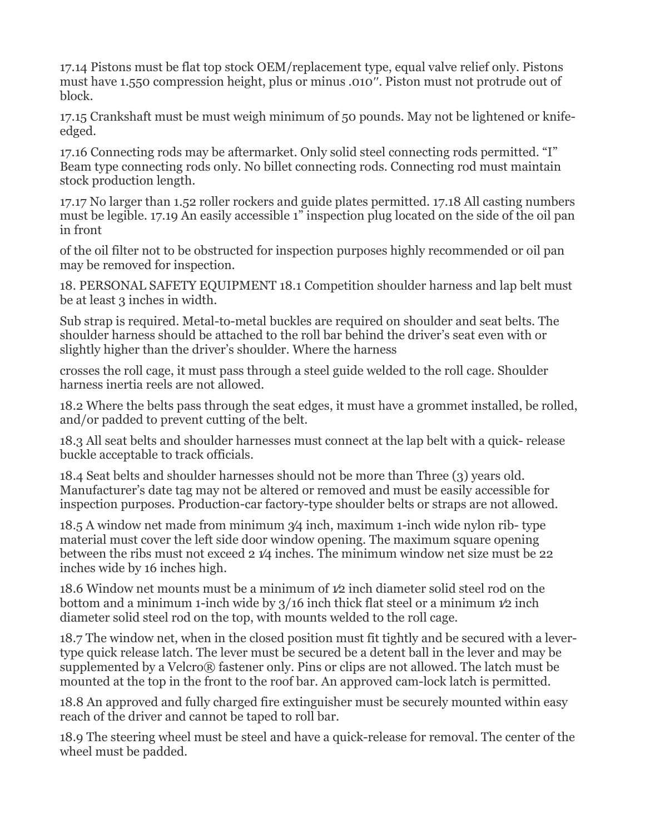17.14 Pistons must be flat top stock OEM/replacement type, equal valve relief only. Pistons must have 1.550 compression height, plus or minus .010′′. Piston must not protrude out of block.

17.15 Crankshaft must be must weigh minimum of 50 pounds. May not be lightened or knifeedged.

17.16 Connecting rods may be aftermarket. Only solid steel connecting rods permitted. "I" Beam type connecting rods only. No billet connecting rods. Connecting rod must maintain stock production length.

17.17 No larger than 1.52 roller rockers and guide plates permitted. 17.18 All casting numbers must be legible. 17.19 An easily accessible 1" inspection plug located on the side of the oil pan in front

of the oil filter not to be obstructed for inspection purposes highly recommended or oil pan may be removed for inspection.

18. PERSONAL SAFETY EQUIPMENT 18.1 Competition shoulder harness and lap belt must be at least 3 inches in width.

Sub strap is required. Metal-to-metal buckles are required on shoulder and seat belts. The shoulder harness should be attached to the roll bar behind the driver's seat even with or slightly higher than the driver's shoulder. Where the harness

crosses the roll cage, it must pass through a steel guide welded to the roll cage. Shoulder harness inertia reels are not allowed.

18.2 Where the belts pass through the seat edges, it must have a grommet installed, be rolled, and/or padded to prevent cutting of the belt.

18.3 All seat belts and shoulder harnesses must connect at the lap belt with a quick- release buckle acceptable to track officials.

18.4 Seat belts and shoulder harnesses should not be more than Three (3) years old. Manufacturer's date tag may not be altered or removed and must be easily accessible for inspection purposes. Production-car factory-type shoulder belts or straps are not allowed.

18.5 A window net made from minimum 3⁄4 inch, maximum 1-inch wide nylon rib- type material must cover the left side door window opening. The maximum square opening between the ribs must not exceed 2 1⁄4 inches. The minimum window net size must be 22 inches wide by 16 inches high.

18.6 Window net mounts must be a minimum of 1⁄2 inch diameter solid steel rod on the bottom and a minimum 1-inch wide by 3/16 inch thick flat steel or a minimum 1⁄2 inch diameter solid steel rod on the top, with mounts welded to the roll cage.

18.7 The window net, when in the closed position must fit tightly and be secured with a levertype quick release latch. The lever must be secured be a detent ball in the lever and may be supplemented by a Velcro® fastener only. Pins or clips are not allowed. The latch must be mounted at the top in the front to the roof bar. An approved cam-lock latch is permitted.

18.8 An approved and fully charged fire extinguisher must be securely mounted within easy reach of the driver and cannot be taped to roll bar.

18.9 The steering wheel must be steel and have a quick-release for removal. The center of the wheel must be padded.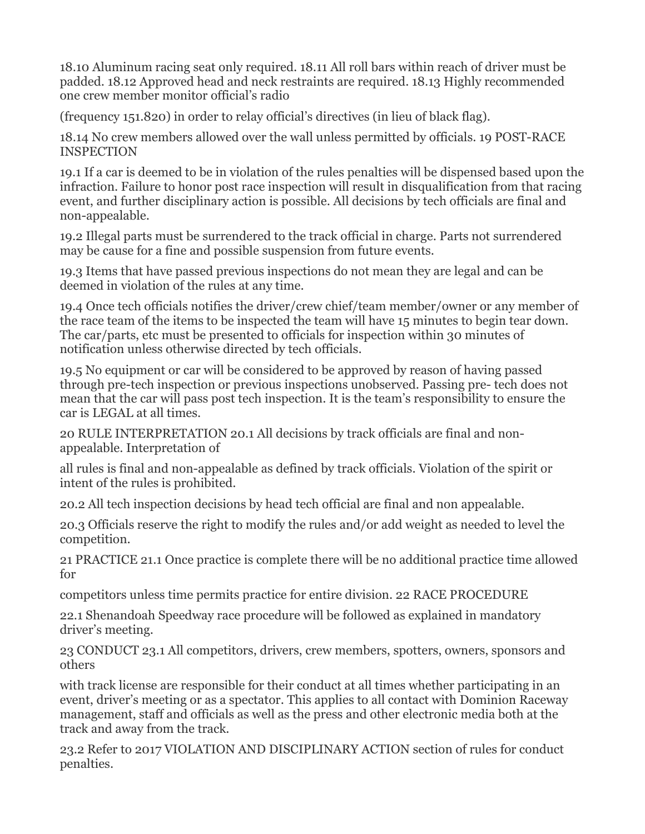18.10 Aluminum racing seat only required. 18.11 All roll bars within reach of driver must be padded. 18.12 Approved head and neck restraints are required. 18.13 Highly recommended one crew member monitor official's radio

(frequency 151.820) in order to relay official's directives (in lieu of black flag).

18.14 No crew members allowed over the wall unless permitted by officials. 19 POST-RACE **INSPECTION** 

19.1 If a car is deemed to be in violation of the rules penalties will be dispensed based upon the infraction. Failure to honor post race inspection will result in disqualification from that racing event, and further disciplinary action is possible. All decisions by tech officials are final and non-appealable.

19.2 Illegal parts must be surrendered to the track official in charge. Parts not surrendered may be cause for a fine and possible suspension from future events.

19.3 Items that have passed previous inspections do not mean they are legal and can be deemed in violation of the rules at any time.

19.4 Once tech officials notifies the driver/crew chief/team member/owner or any member of the race team of the items to be inspected the team will have 15 minutes to begin tear down. The car/parts, etc must be presented to officials for inspection within 30 minutes of notification unless otherwise directed by tech officials.

19.5 No equipment or car will be considered to be approved by reason of having passed through pre-tech inspection or previous inspections unobserved. Passing pre- tech does not mean that the car will pass post tech inspection. It is the team's responsibility to ensure the car is LEGAL at all times.

20 RULE INTERPRETATION 20.1 All decisions by track officials are final and nonappealable. Interpretation of

all rules is final and non-appealable as defined by track officials. Violation of the spirit or intent of the rules is prohibited.

20.2 All tech inspection decisions by head tech official are final and non appealable.

20.3 Officials reserve the right to modify the rules and/or add weight as needed to level the competition.

21 PRACTICE 21.1 Once practice is complete there will be no additional practice time allowed for

competitors unless time permits practice for entire division. 22 RACE PROCEDURE

22.1 Shenandoah Speedway race procedure will be followed as explained in mandatory driver's meeting.

23 CONDUCT 23.1 All competitors, drivers, crew members, spotters, owners, sponsors and others

with track license are responsible for their conduct at all times whether participating in an event, driver's meeting or as a spectator. This applies to all contact with Dominion Raceway management, staff and officials as well as the press and other electronic media both at the track and away from the track.

23.2 Refer to 2017 VIOLATION AND DISCIPLINARY ACTION section of rules for conduct penalties.